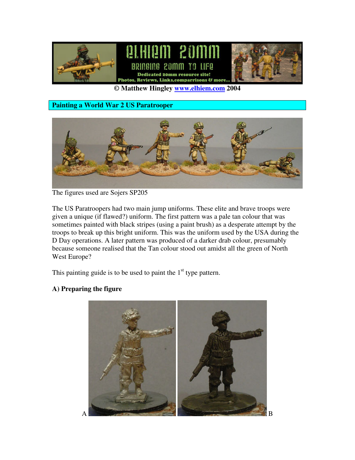

**© Matthew Hingley www.elhiem.com 2004**

**Painting a World War 2 US Paratrooper**



The figures used are Sojers SP205

The US Paratroopers had two main jump uniforms. These elite and brave troops were given a unique (if flawed?) uniform. The first pattern was a pale tan colour that was sometimes painted with black stripes (using a paint brush) as a desperate attempt by the troops to break up this bright uniform. This was the uniform used by the USA during the D Day operations. A later pattern was produced of a darker drab colour, presumably because someone realised that the Tan colour stood out amidst all the green of North West Europe?

This painting guide is to be used to paint the  $1<sup>st</sup>$  type pattern.

### **A) Preparing the figure**

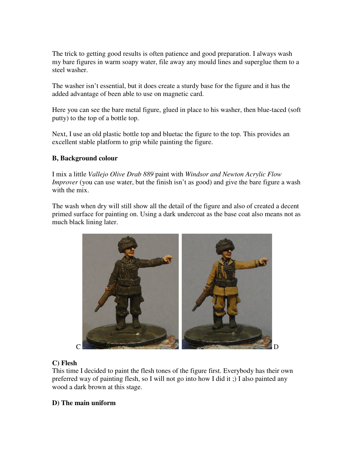The trick to getting good results is often patience and good preparation. I always wash my bare figures in warm soapy water, file away any mould lines and superglue them to a steel washer.

The washer isn't essential, but it does create a sturdy base for the figure and it has the added advantage of been able to use on magnetic card.

Here you can see the bare metal figure, glued in place to his washer, then blue-taced (soft putty) to the top of a bottle top.

Next, I use an old plastic bottle top and bluetac the figure to the top. This provides an excellent stable platform to grip while painting the figure.

### **B, Background colour**

I mix a little *Vallejo Olive Drab 889* paint with *Windsor and Newton Acrylic Flow Improver* (you can use water, but the finish isn't as good) and give the bare figure a wash with the mix.

The wash when dry will still show all the detail of the figure and also of created a decent primed surface for painting on. Using a dark undercoat as the base coat also means not as much black lining later.



### **C) Flesh**

This time I decided to paint the flesh tones of the figure first. Everybody has their own preferred way of painting flesh, so I will not go into how I did it ;) I also painted any wood a dark brown at this stage.

### **D) The main uniform**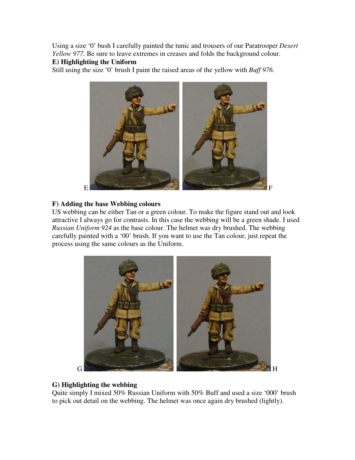Using a size '0' bush I carefully painted the tunic and trousers of our Paratrooper *Desert Yellow 977.* Be sure to leave extremes in creases and folds the background colour.

### **E) Highlighting the Uniform**

Still using the size '0' brush I paint the raised areas of the yellow with *Buff 976.*



#### **F) Adding the base Webbing colours**

US webbing can be either Tan or a green colour. To make the figure stand out and look attractive I always go for contrasts. In this case the webbing will be a green shade. I used *Russian Uniform 924* as the base colour. The helmet was dry brushed. The webbing carefully painted with a '00' brush. If you want to use the Tan colour, just repeat the process using the same colours as the Uniform.



### **G) Highlighting the webbing**

Quite simply I mixed 50% Russian Uniform with 50% Buff and used a size '000' brush to pick out detail on the webbing. The helmet was once again dry brushed (lightly).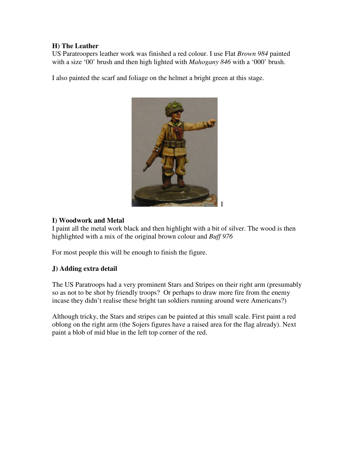### **H) The Leather**

US Paratroopers leather work was finished a red colour. I use Flat *Brown 984* painted with a size '00' brush and then high lighted with *Mahogany 846* with a '000' brush.

I also painted the scarf and foliage on the helmet a bright green at this stage.



### **I) Woodwork and Metal**

I paint all the metal work black and then highlight with a bit of silver. The wood is then highlighted with a mix of the original brown colour and *Buff 976*

For most people this will be enough to finish the figure.

# **J) Adding extra detail**

The US Paratroops had a very prominent Stars and Stripes on their right arm (presumably so as not to be shot by friendly troops? Or perhaps to draw more fire from the enemy incase they didn't realise these bright tan soldiers running around were Americans?)

Although tricky, the Stars and stripes can be painted at this small scale. First paint a red oblong on the right arm (the Sojers figures have a raised area for the flag already). Next paint a blob of mid blue in the left top corner of the red.